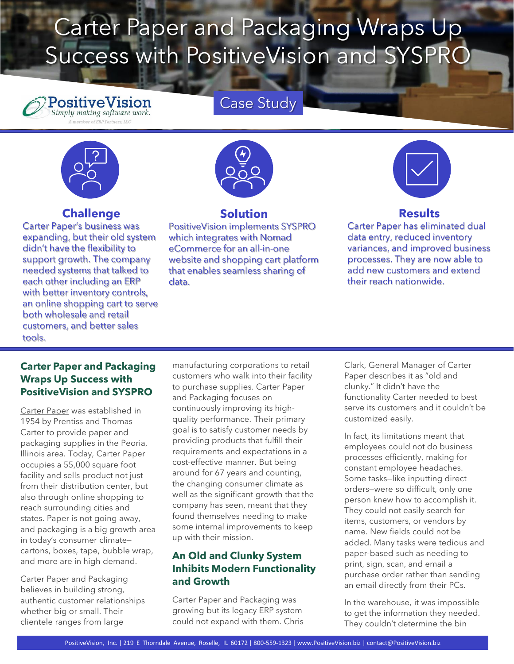# Carter Paper and Packaging Wraps Up Success with PositiveVision and SYSPRO

Case Study

# **PositiveVision**

#### **Challenge**

Carter Paper's business was expanding, but their old system didn't have the flexibility to support growth. The company needed systems that talked to each other including an ERP with better inventory controls, an online shopping cart to serve both wholesale and retail customers, and better sales tools.



#### **Solution**

PositiveVision implements SYSPRO which integrates with Nomad eCommerce for an all-in-one website and shopping cart platform that enables seamless sharing of data.

### **Results**

Carter Paper has eliminated dual data entry, reduced inventory variances, and improved business processes. They are now able to add new customers and extend their reach nationwide.

#### **Carter Paper and Packaging Wraps Up Success with PositiveVision and SYSPRO**

[Carter Paper](https://www.carterpaper.com/) was established in 1954 by Prentiss and Thomas Carter to provide paper and packaging supplies in the Peoria, Illinois area. Today, Carter Paper occupies a 55,000 square foot facility and sells product not just from their distribution center, but also through online shopping to reach surrounding cities and states. Paper is not going away, and packaging is a big growth area in today's consumer climate cartons, boxes, tape, bubble wrap, and more are in high demand.

Carter Paper and Packaging believes in building strong, authentic customer relationships whether big or small. Their clientele ranges from large

manufacturing corporations to retail customers who walk into their facility to purchase supplies. Carter Paper and Packaging focuses on continuously improving its highquality performance. Their primary goal is to satisfy customer needs by providing products that fulfill their requirements and expectations in a cost-effective manner. But being around for 67 years and counting, the changing consumer climate as well as the significant growth that the company has seen, meant that they found themselves needing to make some internal improvements to keep up with their mission.

#### **An Old and Clunky System Inhibits Modern Functionality and Growth**

Carter Paper and Packaging was growing but its legacy ERP system could not expand with them. Chris Clark, General Manager of Carter Paper describes it as "old and clunky." It didn't have the functionality Carter needed to best serve its customers and it couldn't be customized easily.

In fact, its limitations meant that employees could not do business processes efficiently, making for constant employee headaches. Some tasks—like inputting direct orders—were so difficult, only one person knew how to accomplish it. They could not easily search for items, customers, or vendors by name. New fields could not be added. Many tasks were tedious and paper-based such as needing to print, sign, scan, and email a purchase order rather than sending an email directly from their PCs.

In the warehouse, it was impossible to get the information they needed. They couldn't determine the bin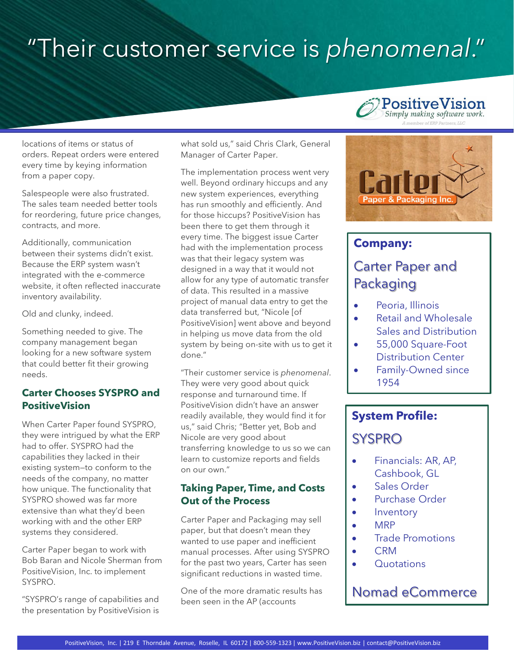# "Their customer service is *phenomenal*."

locations of items or status of orders. Repeat orders were entered every time by keying information from a paper copy.

Salespeople were also frustrated. The sales team needed better tools for reordering, future price changes, contracts, and more.

Additionally, communication between their systems didn't exist. Because the ERP system wasn't integrated with the e-commerce website, it often reflected inaccurate inventory availability.

Old and clunky, indeed.

Something needed to give. The company management began looking for a new software system that could better fit their growing needs.

#### **Carter Chooses SYSPRO and PositiveVision**

When Carter Paper found SYSPRO, they were intrigued by what the ERP had to offer. SYSPRO had the capabilities they lacked in their existing system—to conform to the needs of the company, no matter how unique. The functionality that SYSPRO showed was far more extensive than what they'd been working with and the other ERP systems they considered.

Carter Paper began to work with Bob Baran and Nicole Sherman from PositiveVision, Inc. to implement SYSPRO.

"SYSPRO's range of capabilities and the presentation by PositiveVision is

what sold us," said Chris Clark, General Manager of Carter Paper.

The implementation process went very well. Beyond ordinary hiccups and any new system experiences, everything has run smoothly and efficiently. And for those hiccups? PositiveVision has been there to get them through it every time. The biggest issue Carter had with the implementation process was that their legacy system was designed in a way that it would not allow for any type of automatic transfer of data. This resulted in a massive project of manual data entry to get the data transferred but, "Nicole [of PositiveVision] went above and beyond in helping us move data from the old system by being on-site with us to get it done."

"Their customer service is *phenomenal*. They were very good about quick response and turnaround time. If PositiveVision didn't have an answer readily available, they would find it for us," said Chris; "Better yet, Bob and Nicole are very good about transferring knowledge to us so we can learn to customize reports and fields on our own."

#### **Taking Paper, Time, and Costs Out of the Process**

Carter Paper and Packaging may sell paper, but that doesn't mean they wanted to use paper and inefficient manual processes. After using SYSPRO for the past two years, Carter has seen significant reductions in wasted time.

One of the more dramatic results has been seen in the AP (accounts

### **PositiveVision** Simply making software work.



### **Company:**

## Carter Paper and Packaging

- Peoria, Illinois
- Retail and Wholesale Sales and Distribution
- 55,000 Square-Foot Distribution Center
- Family-Owned since 1954

# **System Profile:**

## SYSPRO

- Financials: AR, AP, Cashbook, GL
- Sales Order
- Purchase Order
- Inventory
- MRP
- Trade Promotions
- CRM
- Quotations

### Nomad eCommerce